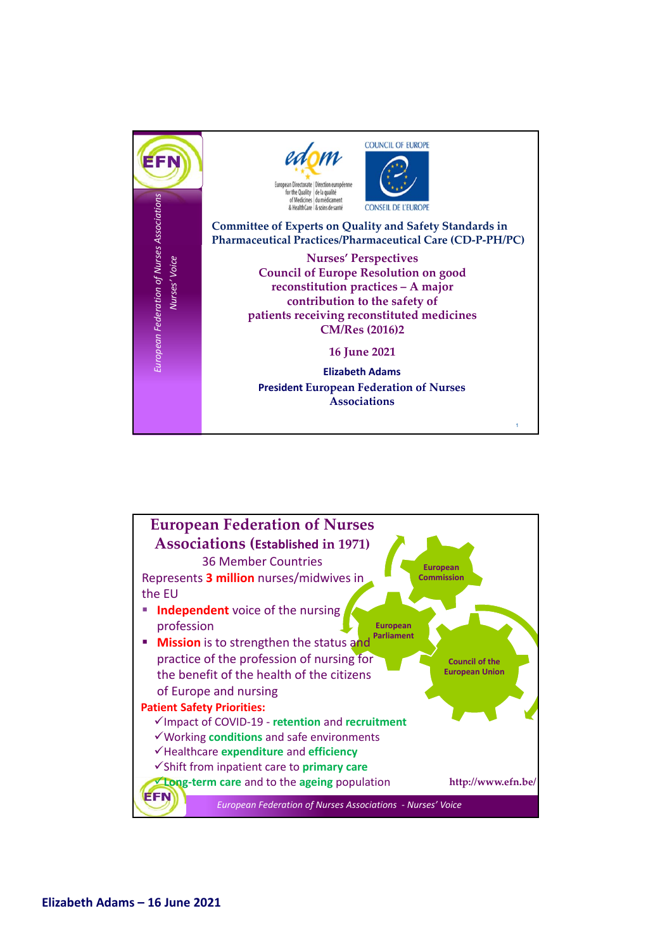

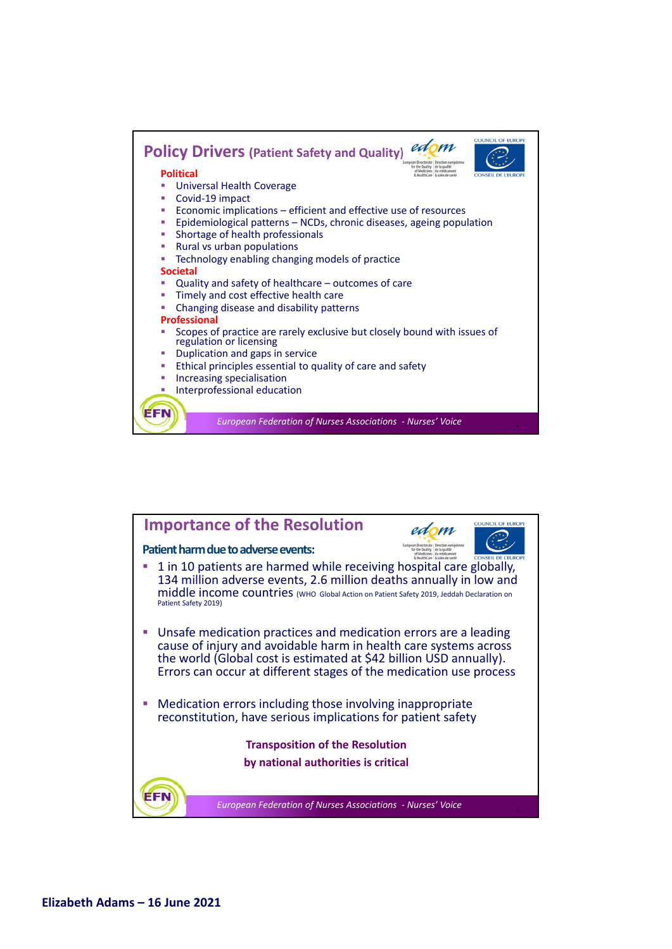

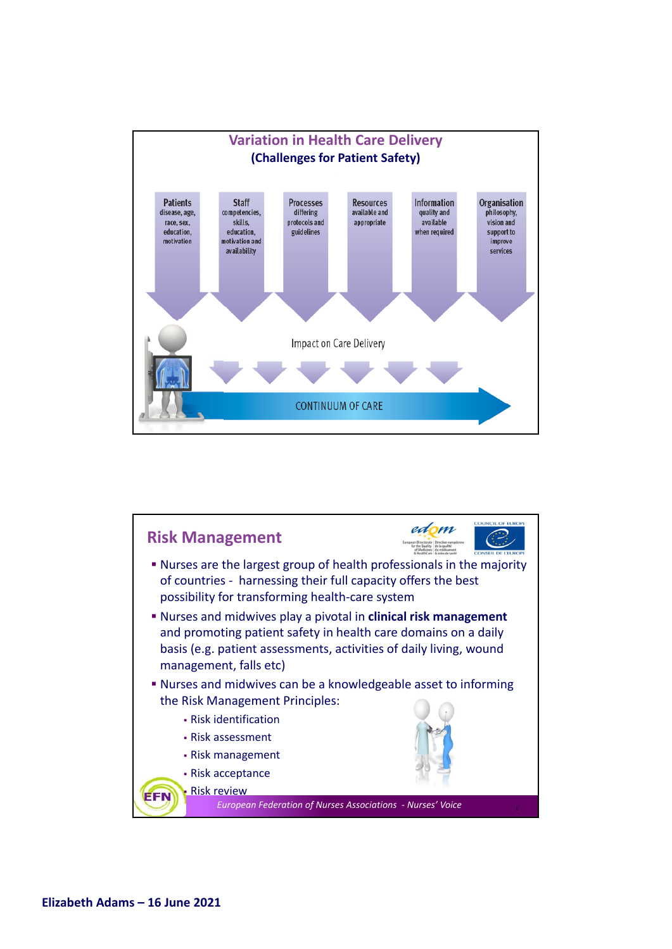

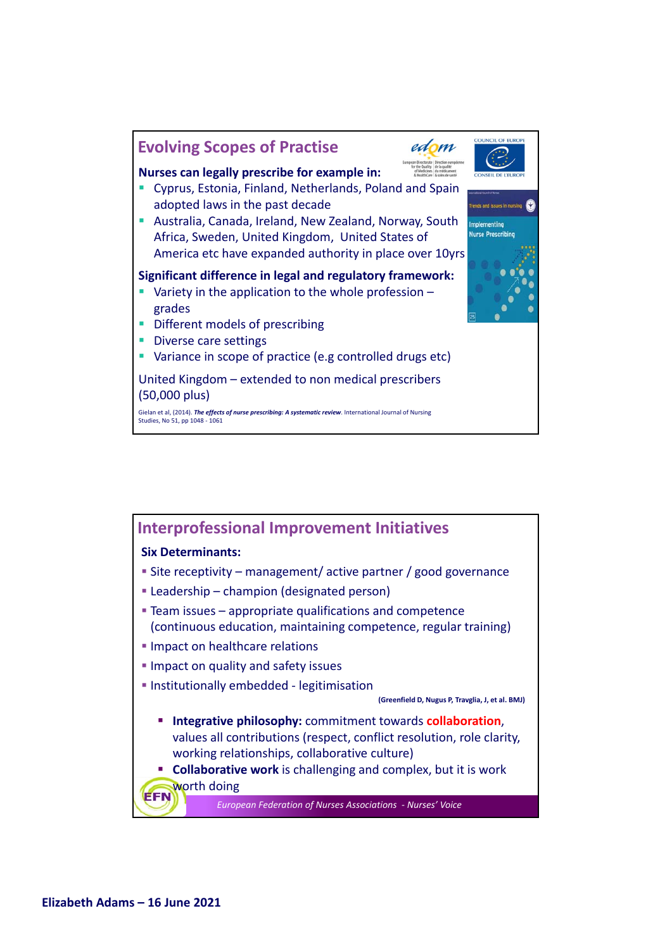

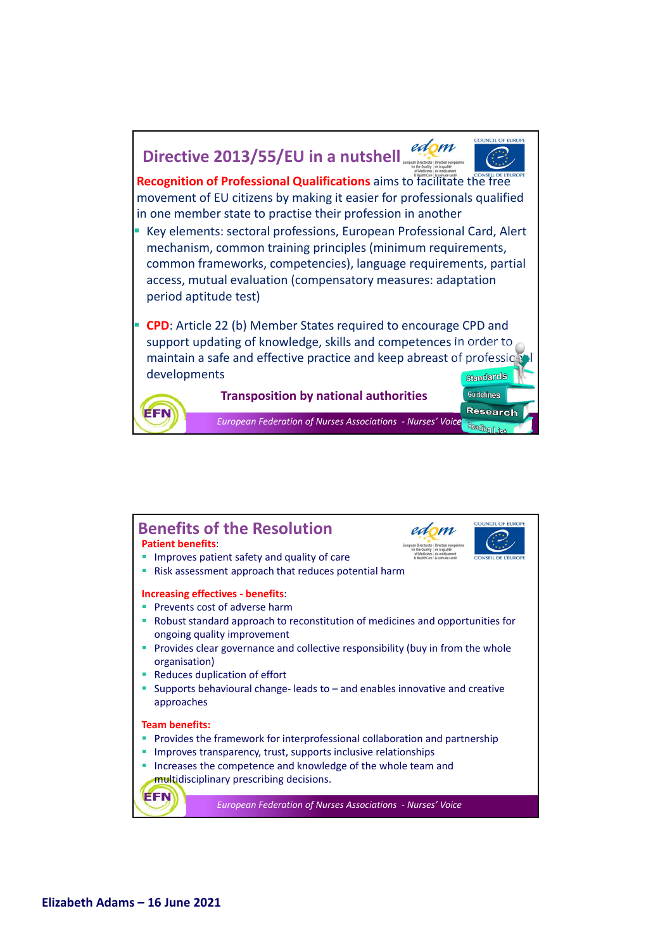## edom **Directive 2013/55/EU in a nutshell**



9

Guidelines **Research** 

Readhamn :

**Recognition of Professional Qualifications** aims to facilitate the free movement of EU citizens by making it easier for professionals qualified in one member state to practise their profession in another

**Key elements: sectoral professions, European Professional Card, Alert** mechanism, common training principles (minimum requirements, common frameworks, competencies), language requirements, partial access, mutual evaluation (compensatory measures: adaptation period aptitude test)

 **CPD**: Article 22 (b) Member States required to encourage CPD and support updating of knowledge, skills and competences in order to maintain a safe and effective practice and keep abreast of profession developments **StandardS** 



**Transposition by national authorities**